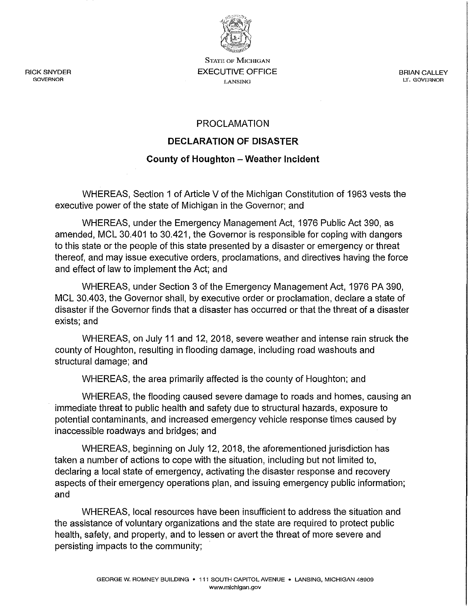

**STATE OF MICHIGAN**  EXECUTIVE OFFICE **LANSING** 

BRIAN CALLEY **LT. GOVERNOR** 

## PROCLAMATION

## **DECLARATION OF DISASTER**

## **County of Houghton - Weather Incident**

WHEREAS, Section 1 of Article V of the Michigan Constitution of 1963 vests the executive power of the state of Michigan in the Governor; and

WHEREAS, under the Emergency Management Act, 1976 Public Act 390, as amended, MCL 30.401 to 30.421, the Governor is responsible for coping with dangers to this state or the people of this state presented by a disaster or emergency or threat thereof, and may issue executive orders, proclamations, and directives having the force and effect of law to implement the Act; and

WHEREAS, under Section 3 of the Emergency Management Act, 1976 PA 390, MCL 30.403, the Governor shall, by executive order or proclamation, declare a state of disaster if the Governor finds that a disaster has occurred or that the threat of a disaster exists; and

WHEREAS, on July 11 and 12, 2018, severe weather and intense rain struck the county of Houghton, resulting in flooding damage, including road washouts and structural damage; and

WHEREAS, the area primarily affected is the county of Houghton; and

WHEREAS, the flooding caused severe damage to roads and homes, causing an immediate threat to public health and safety due to structural hazards, exposure to potential contaminants, and increased emergency vehicle response times caused by inaccessible roadways and bridges; and

WHEREAS, beginning on July 12, 2018, the aforementioned jurisdiction has taken a number of actions to cope with the situation, including but not limited to, declaring a local state of emergency, activating the disaster response and recovery aspects of their emergency operations plan, and issuing emergency public information; and

WHEREAS, local resources have been insufficient to address the situation and the assistance of voluntary organizations and the state are required to protect public health, safety, and property, and to lessen or avert the threat of more severe and persisting impacts to the community;

RICK SNYDER **GOVERNOR**